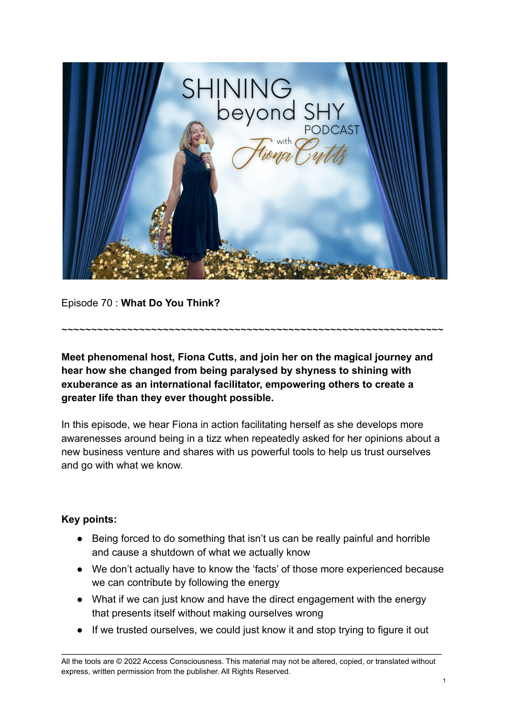

Episode 70 : **What Do You Think?**

**Meet phenomenal host, Fiona Cutts, and join her on the magical journey and hear how she changed from being paralysed by shyness to shining with exuberance as an international facilitator, empowering others to create a greater life than they ever thought possible.**

~~~~~~~~~~~~~~~~~~~~~~~~~~~~~~~~~~~~~~~~~~~~~~~~~~~~~~~~~~~~~~~~

In this episode, we hear Fiona in action facilitating herself as she develops more awarenesses around being in a tizz when repeatedly asked for her opinions about a new business venture and shares with us powerful tools to help us trust ourselves and go with what we know.

## **Key points:**

- Being forced to do something that isn't us can be really painful and horrible and cause a shutdown of what we actually know
- We don't actually have to know the 'facts' of those more experienced because we can contribute by following the energy
- What if we can just know and have the direct engagement with the energy that presents itself without making ourselves wrong
- If we trusted ourselves, we could just know it and stop trying to figure it out

\_\_\_\_\_\_\_\_\_\_\_\_\_\_\_\_\_\_\_\_\_\_\_\_\_\_\_\_\_\_\_\_\_\_\_\_\_\_\_\_\_\_\_\_\_\_\_\_\_\_\_\_\_\_\_\_\_\_\_\_\_\_\_\_\_\_\_\_\_\_\_\_\_

All the tools are © 2022 Access Consciousness. This material may not be altered, copied, or translated without express, written permission from the publisher. All Rights Reserved.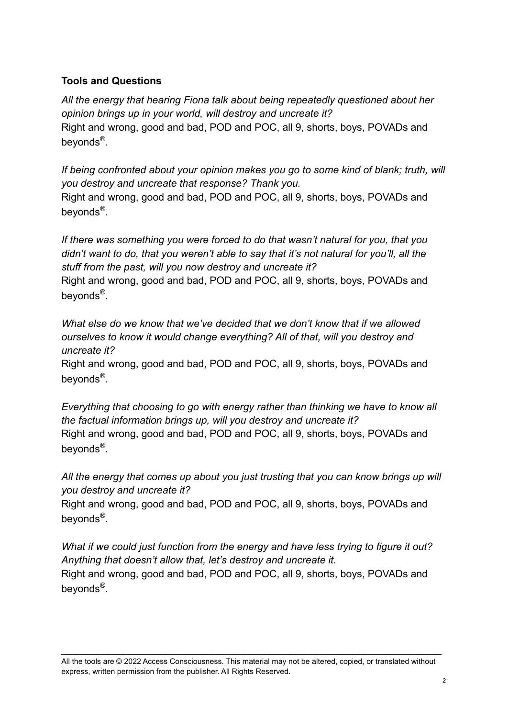## **Tools and Questions**

*All the energy that hearing Fiona talk about being repeatedly questioned about her opinion brings up in your world, will destroy and uncreate it?* Right and wrong, good and bad, POD and POC, all 9, shorts, boys, POVADs and beyonds<sup>®</sup>.

*If being confronted about your opinion makes you go to some kind of blank; truth, will you destroy and uncreate that response? Thank you.* Right and wrong, good and bad, POD and POC, all 9, shorts, boys, POVADs and beyonds<sup>®</sup>.

*If there was something you were forced to do that wasn't natural for you, that you didn't want to do, that you weren't able to say that it's not natural for you'll, all the stuff from the past, will you now destroy and uncreate it?*

Right and wrong, good and bad, POD and POC, all 9, shorts, boys, POVADs and beyonds<sup>®</sup>.

*What else do we know that we've decided that we don't know that if we allowed ourselves to know it would change everything? All of that, will you destroy and uncreate it?*

Right and wrong, good and bad, POD and POC, all 9, shorts, boys, POVADs and beyonds<sup>®</sup>.

*Everything that choosing to go with energy rather than thinking we have to know all the factual information brings up, will you destroy and uncreate it?* Right and wrong, good and bad, POD and POC, all 9, shorts, boys, POVADs and beyonds<sup>®</sup>.

*All the energy that comes up about you just trusting that you can know brings up will you destroy and uncreate it?*

Right and wrong, good and bad, POD and POC, all 9, shorts, boys, POVADs and beyonds<sup>®</sup>.

*What if we could just function from the energy and have less trying to figure it out? Anything that doesn't allow that, let's destroy and uncreate it.* Right and wrong, good and bad, POD and POC, all 9, shorts, boys, POVADs and beyonds<sup>®</sup>.

All the tools are © 2022 Access Consciousness. This material may not be altered, copied, or translated without express, written permission from the publisher. All Rights Reserved.

\_\_\_\_\_\_\_\_\_\_\_\_\_\_\_\_\_\_\_\_\_\_\_\_\_\_\_\_\_\_\_\_\_\_\_\_\_\_\_\_\_\_\_\_\_\_\_\_\_\_\_\_\_\_\_\_\_\_\_\_\_\_\_\_\_\_\_\_\_\_\_\_\_